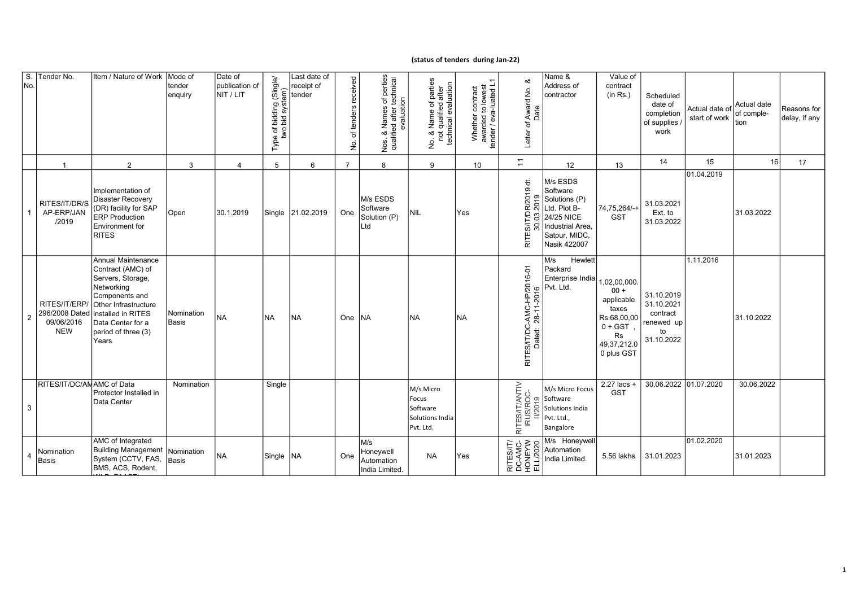## (status of tenders during Jan-22)

| S<br>No. | Tender No.                                 | Item / Nature of Work                                                                                                                                                                                         | Mode of<br>tender<br>enquiry | Date of<br>publication of<br>NIT / LIT | Type of bidding (Single/<br>two bid system) | Last date of<br>receipt of<br>tender | received<br>tenders<br>đ<br>б.<br>2 | Vos. & Names of perties<br>qualified after technical<br>evaluation<br>Nos. | No. & Name of parties<br>not qualified after<br>technical evaluation<br>ş. | Whether contract<br>awarded to lowest<br>tender / eva-luated L1 | య<br>Letter of Award No.<br>Date                | Name &<br>Address of<br>contractor                                                                                       | Value of<br>contract<br>(in Rs.)                                                                                    | Scheduled<br>date of<br>completion<br>of supplies<br>work              | Actual date of Actual date<br>start of work | of comple-<br>tion | Reasons for<br>delay, if any |
|----------|--------------------------------------------|---------------------------------------------------------------------------------------------------------------------------------------------------------------------------------------------------------------|------------------------------|----------------------------------------|---------------------------------------------|--------------------------------------|-------------------------------------|----------------------------------------------------------------------------|----------------------------------------------------------------------------|-----------------------------------------------------------------|-------------------------------------------------|--------------------------------------------------------------------------------------------------------------------------|---------------------------------------------------------------------------------------------------------------------|------------------------------------------------------------------------|---------------------------------------------|--------------------|------------------------------|
|          | $\overline{1}$                             | 2                                                                                                                                                                                                             | 3                            | $\overline{\mathbf{A}}$                | 5                                           | 6                                    | $\overline{7}$                      | 8                                                                          | 9                                                                          | 10                                                              | $\overline{a}$                                  | 12 <sup>2</sup>                                                                                                          | 13                                                                                                                  | 14                                                                     | 15                                          | 16                 | 17                           |
|          | RITES/IT/DR/S<br>AP-ERP/JAN<br>/2019       | Implementation of<br><b>Disaster Recovery</b><br>(DR) facility for SAP<br><b>ERP</b> Production<br>Environment for<br><b>RITES</b>                                                                            | Open                         | 30.1.2019                              |                                             | Single 21.02.2019                    | One                                 | M/s ESDS<br>Software<br>Solution (P)<br>Ltd                                | <b>NIL</b>                                                                 | Yes                                                             | RITES/IT/DR/2019 dt.<br>30.03.2019              | M/s ESDS<br>Software<br>Solutions (P)<br>Ltd. Plot B-<br>24/25 NICE<br>Industrial Area,<br>Satpur, MIDC,<br>Nasik 422007 | 74,75,264/-+<br><b>GST</b>                                                                                          | 31.03.2021<br>Ext. to<br>31.03.2022                                    | 01.04.2019                                  | 31.03.2022         |                              |
| 2        | 296/2008 Dated<br>09/06/2016<br><b>NEW</b> | Annual Maintenance<br>Contract (AMC) of<br>Servers, Storage,<br>Networking<br>Components and<br>RITES/IT/ERP/ Other Infrastructure<br>installed in RITES<br>Data Center for a<br>period of three (3)<br>Years | Nomination<br>Basis          | <b>NA</b>                              | <b>NA</b>                                   | <b>NA</b>                            | One                                 | <b>NA</b>                                                                  | <b>NA</b>                                                                  | <b>NA</b>                                                       | RITES/IT/DC-AMC-HP/2016-01<br>Dated: 28-11-2016 | Hewlett<br>M/s<br>Packard<br>Enterprise India<br>Pvt. Ltd.                                                               | 1,02,00,000.<br>$00 +$<br>applicable<br>taxes<br>Rs.68,00,00<br>$0 + GST$<br><b>Rs</b><br>49,37,212.0<br>0 plus GST | 31.10.2019<br>31.10.2021<br>contract<br>renewed up<br>to<br>31.10.2022 | 1.11.2016                                   | 31.10.2022         |                              |
| 3        | RITES/IT/DC/ANAMC of Data                  | Protector Installed in<br>Data Center                                                                                                                                                                         | Nomination                   |                                        | Single                                      |                                      |                                     |                                                                            | M/s Micro<br>Focus<br>Software<br>Solutions India<br>Pvt. Ltd.             |                                                                 | RITES/IT/ANTIV<br>IRUS/ROC-<br>II/2019          | M/s Micro Focus<br>Software<br>Solutions India<br>Pvt. Ltd.,<br>Bangalore                                                | 2.27 lacs +<br><b>GST</b>                                                                                           | 30.06.2022 01.07.2020                                                  |                                             | 30.06.2022         |                              |
| 4        | Nomination<br>Basis                        | AMC of Integrated<br><b>Building Management</b><br>System (CCTV, FAS,<br>BMS, ACS, Rodent,                                                                                                                    | Nomination<br>Basis          | NA                                     | Single NA                                   |                                      | One                                 | M/s<br>Honeywell<br>Automation<br>India Limited.                           | <b>NA</b>                                                                  | Yes                                                             | RITES/IT/<br>DC-AMC-<br>HONEYW<br>ELL/2020      | M/s Honeywell<br>Automation<br>India Limited.                                                                            | 5.56 lakhs                                                                                                          | 31.01.2023                                                             | 01.02.2020                                  | 31.01.2023         |                              |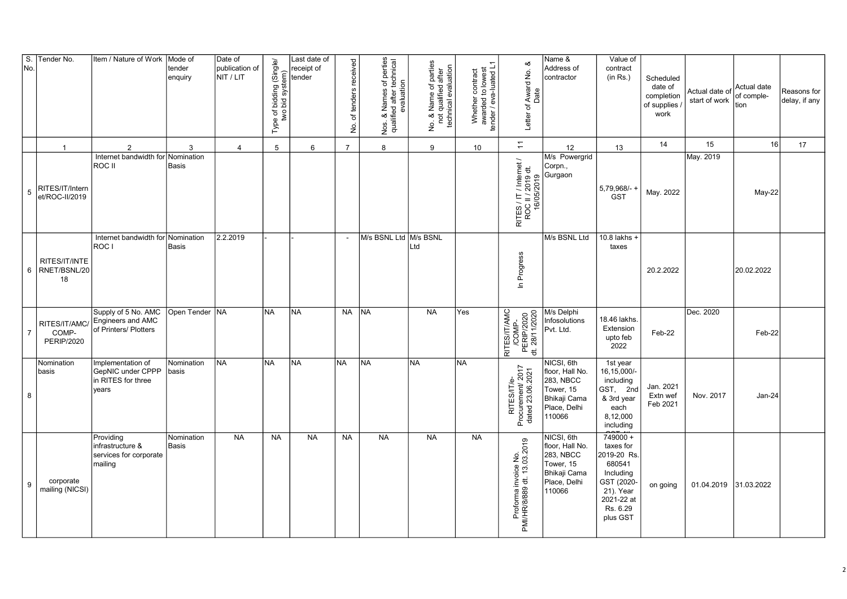| $\overline{\mathsf{s}}$ .<br>No. | Tender No.                                  | Item / Nature of Work                                                 | Mode of<br>tender<br>enquiry | Date of<br>publication of<br>NIT / LIT | Type of bidding (Single/<br>two bid system) | Last date of<br>receipt of<br>tender | received<br>tenders<br>৳<br>ş | Nos. & Names of perties<br>qualified after technical<br>evaluation | No. & Name of parties<br>not qualified after<br>technical evaluation | Whether contract<br>awarded to lowest<br>tender / eva-luated L1 | త<br>Letter of Award No.<br>Date                           | Name &<br>Address of<br>contractor                                                                | Value of<br>contract<br>(in Rs.)                                                                                               | Scheduled<br>date of<br>completion<br>of supplies<br>work | Actual date of Actual date<br>start of work | of comple-<br>ltion | Reasons for<br>delay, if any |
|----------------------------------|---------------------------------------------|-----------------------------------------------------------------------|------------------------------|----------------------------------------|---------------------------------------------|--------------------------------------|-------------------------------|--------------------------------------------------------------------|----------------------------------------------------------------------|-----------------------------------------------------------------|------------------------------------------------------------|---------------------------------------------------------------------------------------------------|--------------------------------------------------------------------------------------------------------------------------------|-----------------------------------------------------------|---------------------------------------------|---------------------|------------------------------|
|                                  | $\overline{1}$                              | $\overline{2}$                                                        | 3                            | $\overline{4}$                         | 5                                           | 6                                    | $\overline{7}$                | 8                                                                  | 9                                                                    | 10 <sup>10</sup>                                                | H                                                          | 12                                                                                                | 13                                                                                                                             | 14                                                        | 15                                          | 16                  | 17                           |
| $\overline{5}$                   | RITES/IT/Intern<br>et/ROC-II/2019           | Internet bandwidth for<br><b>ROC II</b>                               | Nomination<br>Basis          |                                        |                                             |                                      |                               |                                                                    |                                                                      |                                                                 | RITES / IT / Internet /<br>ROC II / 2019 dt.<br>16/05/2019 | M/s Powergrid<br>Corpn.,<br>Gurgaon                                                               | 5,79,968/-+<br><b>GST</b>                                                                                                      | May. 2022                                                 | May. 2019                                   | May-22              |                              |
| 6                                | RITES/IT/INTE<br>RNET/BSNL/20<br>18         | Internet bandwidth for<br>ROC I                                       | Nomination<br><b>Basis</b>   | 2.2.2019                               |                                             |                                      | $\sim$                        | M/s BSNL Ltd M/s BSNL                                              | Ltd                                                                  |                                                                 | In Progress                                                | M/s BSNL Ltd                                                                                      | 10.8 lakhs +<br>taxes                                                                                                          | 20.2.2022                                                 |                                             | 20.02.2022          |                              |
| $\overline{7}$                   | RITES/IT/AMC/<br>COMP-<br><b>PERIP/2020</b> | Supply of 5 No. AMC<br>Engineers and AMC<br>of Printers/ Plotters     | Open Tender   NA             |                                        | NA.                                         | <b>NA</b>                            | NA                            | <b>NA</b>                                                          | <b>NA</b>                                                            | Yes                                                             | RITES/IT/AMC<br>/COMP-<br>PERIP/2020<br>dt. 28/11/2020     | M/s Delphi<br>Infosolutions<br>Pvt. Ltd.                                                          | 18.46 lakhs.<br>Extension<br>upto feb<br>2022                                                                                  | Feb-22                                                    | Dec. 2020                                   | Feb-22              |                              |
| 8                                | Nomination<br>basis                         | Implementation of<br>GepNIC under CPPP<br>in RITES for three<br>years | Nomination<br>basis          | <b>NA</b>                              | <b>NA</b>                                   | <b>NA</b>                            | <b>NA</b>                     | <b>NA</b>                                                          | <b>NA</b>                                                            | İNA                                                             | RITES/IT/e-<br>Procurement/ 2017<br>dated 23.06.2021       | NICSI, 6th<br>floor, Hall No.<br>283, NBCC<br>Tower, 15<br>Bhikaji Cama<br>Place, Delhi<br>110066 | 1st year<br>16,15,000/-<br>including<br>GST, 2nd<br>& 3rd year<br>each<br>8,12,000<br>including                                | Jan. 2021<br>Extn wef<br>Feb 2021                         | Nov. 2017                                   | Jan-24              |                              |
| 9                                | corporate<br>mailing (NICSI)                | Providing<br>infrastructure &<br>services for corporate<br>mailing    | Nomination<br><b>Basis</b>   | <b>NA</b>                              | <b>NA</b>                                   | <b>NA</b>                            | <b>NA</b>                     | <b>NA</b>                                                          | <b>NA</b>                                                            | <b>NA</b>                                                       | Proforma invoice No.<br>PMI/HR/8/889 dt. 13.03.2019        | NICSI, 6th<br>floor, Hall No.<br>283, NBCC<br>Tower, 15<br>Bhikaji Cama<br>Place, Delhi<br>110066 | $749000 +$<br>taxes for<br>2019-20 Rs.<br>680541<br>Including<br>GST (2020-<br>21). Year<br>2021-22 at<br>Rs. 6.29<br>plus GST | on going                                                  | 01.04.2019                                  | 31.03.2022          |                              |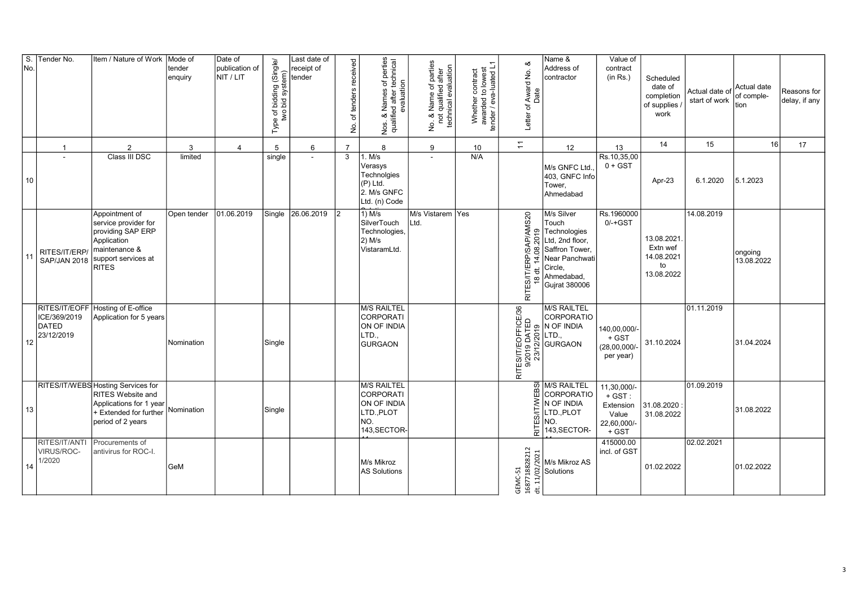| S.<br>No. | Tender No.                                 | Item / Nature of Work                                                                                                                    | Mode of<br>tender<br>enquiry | Date of<br>publication of<br>NIT / LIT | Type of bidding (Single/<br>two bid system) | Last date of<br>receipt of<br>tender | of tenders received<br>ş | Nos. & Names of perties<br>qualified after technical<br>evaluation                         | No. & Name of parties<br>not qualified after<br>technical evaluation | Whether contract<br>awarded to lowest<br>tender / eva-luated L1 | ∞<br>Letter of Award No.<br>Date                                                                    | Name &<br>Address of<br>contractor                                                                                                          | Value of<br>contract<br>(in Rs.)                                       | Scheduled<br>date of<br>completion<br>of supplies<br>work | Actual date of<br>start of work | Actual date<br>of comple-<br>tion | Reasons for<br>delay, if any |
|-----------|--------------------------------------------|------------------------------------------------------------------------------------------------------------------------------------------|------------------------------|----------------------------------------|---------------------------------------------|--------------------------------------|--------------------------|--------------------------------------------------------------------------------------------|----------------------------------------------------------------------|-----------------------------------------------------------------|-----------------------------------------------------------------------------------------------------|---------------------------------------------------------------------------------------------------------------------------------------------|------------------------------------------------------------------------|-----------------------------------------------------------|---------------------------------|-----------------------------------|------------------------------|
|           |                                            | $\overline{2}$                                                                                                                           | 3                            | $\boldsymbol{\Delta}$                  | 5                                           | 6                                    | $\overline{7}$           | 8                                                                                          | $\boldsymbol{9}$                                                     | 10                                                              | $\overline{+}$                                                                                      | 12                                                                                                                                          | 13                                                                     | 14                                                        | 15                              | 16                                | 17                           |
| 10        |                                            | Class III DSC                                                                                                                            | limited                      |                                        | single                                      | $\mathbf{r}$                         | $\overline{3}$           | 1. M/s<br>Verasys<br>Technolgies<br>$(P)$ Ltd.<br>2. M/s GNFC<br>Ltd. (n) Code             |                                                                      | N/A                                                             |                                                                                                     | M/s GNFC Ltd.<br>403, GNFC Info<br>Tower,<br>Ahmedabad                                                                                      | Rs.10,35,00<br>$0 + GST$                                               | Apr-23                                                    | 6.1.2020                        | 5.1.2023                          |                              |
| 11        | RITES/IT/ERP/<br><b>SAP/JAN 2018</b>       | Appointment of<br>service provider for<br>providing SAP ERP<br>Application<br>maintenance &<br>support services at<br><b>RITES</b>       | Open tender                  | 01.06.2019                             | Single                                      | 26.06.2019                           | l2                       | $1)$ M/s<br>SilverTouch<br>Technologies,<br>$2)$ M/s<br>VistaramLtd.                       | M/s Vistarem Yes<br>Ltd.                                             |                                                                 | RITES/IT/ERP/SAP/AMS20<br>14.08.2019<br>$\overleftrightarrow{\sigma}$<br>$\overset{\circ}{\approx}$ | M/s Silver<br>Touch<br>Technologies<br>Ltd, 2nd floor,<br>Saffron Tower,<br>Near Panchwati<br>Circle,<br>Ahmedabad,<br><b>Gujrat 380006</b> | Rs.1960000<br>$0/-+GST$                                                | 13.08.2021<br>Extn wef<br>14.08.2021<br>to<br>13.08.2022  | 14.08.2019                      | ongoing<br>13.08.2022             |                              |
| 12        | ICE/369/2019<br><b>DATED</b><br>23/12/2019 | RITES/IT/EOFF Hosting of E-office<br>Application for 5 years                                                                             | Nomination                   |                                        | Single                                      |                                      |                          | <b>M/S RAILTEL</b><br><b>CORPORATI</b><br>ON OF INDIA<br>LTD.,<br><b>GURGAON</b>           |                                                                      |                                                                 | RITES/IT/EOFFICE/36<br>9/2019 DATED<br>23/12/2019                                                   | M/S RAILTEL<br>CORPORATIO<br>N OF INDIA<br>LTD.,<br>GURGAON                                                                                 | 140,00,000/-<br>$+$ GST<br>$(28,00,000/-$<br>per year)                 | 31.10.2024                                                | 01.11.2019                      | 31.04.2024                        |                              |
| 13        |                                            | RITES/IT/WEBS Hosting Services for<br><b>RITES Website and</b><br>Applications for 1 year<br>+ Extended for further<br>period of 2 years | Nomination                   |                                        | Single                                      |                                      |                          | <b>M/S RAILTEL</b><br><b>CORPORATI</b><br>ON OF INDIA<br>LTD., PLOT<br>NO.<br>143, SECTOR- |                                                                      |                                                                 | EBSI<br>RITES/IT/W                                                                                  | M/S RAILTEL<br>CORPORATIO<br>N OF INDIA<br>LTD., PLOT<br>NO.<br>143, SECTOR-                                                                | 11,30,000/-<br>$+$ GST :<br>Extension<br>Value<br>22,60,000/-<br>+ GST | 31.08.2020<br>31.08.2022                                  | 01.09.2019                      | 31.08.2022                        |                              |
| 14        | RITES/IT/ANTI<br>VIRUS/ROC-<br>1/2020      | Procurements of<br>antivirus for ROC-I.                                                                                                  | GeM                          |                                        |                                             |                                      |                          | M/s Mikroz<br><b>AS Solutions</b>                                                          |                                                                      |                                                                 | 1687718828212<br>GEMC-51                                                                            |                                                                                                                                             | 415000.00<br>incl. of GST                                              | 01.02.2022                                                | 02.02.2021                      | 01.02.2022                        |                              |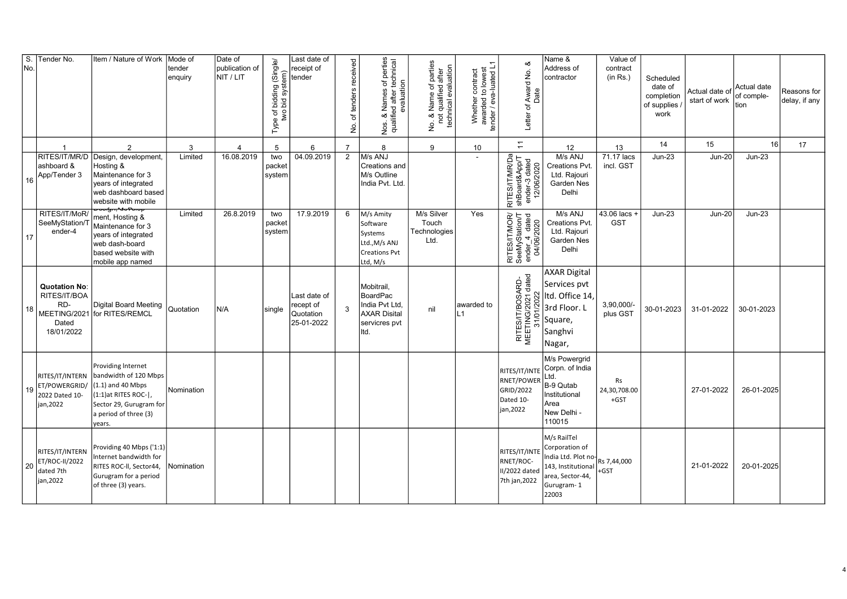| $\overline{\mathsf{s}}$ .<br>No. | Tender No.                                                         | Item / Nature of Work                                                                                                                                               | Mode of<br>tender<br>enquiry | Date of<br>publication of<br>NIT / LIT | Type of bidding (Single/<br>two bid system) | Last date of<br>receipt of<br>tender                 | received<br>of tenders<br>ş | s of perties<br>technical<br>evaluation<br>Nos. & Names c<br>qualified after to<br>Nos.         | No. & Name of parties<br>not qualified after<br>technical evaluation | Whether contract<br>awarded to lowest<br>tender / eva-luated L1 | త<br>Award No.<br>Date<br>Letter of                                | Name &<br>Address of<br>contractor                                                                                                  | Value of<br>contract<br>(in Rs.) | Scheduled<br>date of<br>completion<br>of supplies<br>work | Actual date of<br>start of work | Actual date<br>of comple-<br>tion | Reasons for<br>delay, if any |
|----------------------------------|--------------------------------------------------------------------|---------------------------------------------------------------------------------------------------------------------------------------------------------------------|------------------------------|----------------------------------------|---------------------------------------------|------------------------------------------------------|-----------------------------|-------------------------------------------------------------------------------------------------|----------------------------------------------------------------------|-----------------------------------------------------------------|--------------------------------------------------------------------|-------------------------------------------------------------------------------------------------------------------------------------|----------------------------------|-----------------------------------------------------------|---------------------------------|-----------------------------------|------------------------------|
|                                  | $\overline{\mathbf{1}}$                                            | $\overline{2}$                                                                                                                                                      | 3                            | $\overline{4}$                         | 5                                           | 6                                                    | $\overline{7}$              | 8                                                                                               | 9                                                                    | 10                                                              | $\div$                                                             | 12                                                                                                                                  | 13                               | 14                                                        | 15                              | 16                                | 17                           |
| 16                               | ashboard &<br>App/Tender 3                                         | RITES/IT/MR/D Design, development<br>Hosting &<br>Maintenance for 3<br>vears of integrated<br>web dashboard based<br>website with mobile                            | Limited                      | 16.08.2019                             | two<br>packet<br>system                     | 04.09.2019                                           | 2                           | M/s ANJ<br>Creations and<br>M/s Outline<br>India Pvt. Ltd.                                      |                                                                      |                                                                 | RITES/IT/MR/Da<br>shBoard&App/T<br>ender-3 dated<br>12/06/2020     | M/s ANJ<br>Creations Pvt.<br>Ltd. Rajouri<br><b>Garden Nes</b><br>Delhi                                                             | 71.17 lacs<br>incl. GST          | $Jun-23$                                                  | <b>Jun-20</b>                   | $Jun-23$                          |                              |
| 17                               | RITES/IT/MoR/<br>SeeMyStation/T<br>ender-4                         | ment, Hosting &<br>Maintenance for 3<br>years of integrated<br>web dash-board<br>based website with<br>mobile app named                                             | Limited                      | 26.8.2019                              | two<br>packet<br>system                     | 17.9.2019                                            | 6                           | M/s Amity<br>Software<br>Systems<br>Ltd., M/s ANJ<br><b>Creations Pvt</b><br>Ltd, M/s           | M/s Silver<br>Touch<br>Technologies<br>Ltd.                          | Yes                                                             | RITES/IT/MOR/<br>SeeMyStation/T<br>ender_4 dated<br>04/06/2020     | M/s ANJ<br>Creations Pvt.<br>Ltd. Rajouri<br>Garden Nes<br>Delhi                                                                    | 43.06 lacs +<br><b>GST</b>       | <b>Jun-23</b>                                             | <b>Jun-20</b>                   | $Jun-23$                          |                              |
| 18                               | <b>Quotation No:</b><br>RITES/IT/BOA<br>RD-<br>Dated<br>18/01/2022 | Digital Board Meeting<br>MEETING/2021 for RITES/REMCL                                                                                                               | Quotation                    | N/A                                    | single                                      | Last date of<br>recept of<br>Quotation<br>25-01-2022 | 3                           | Mobitrail,<br><b>BoardPac</b><br>India Pvt Ltd,<br><b>AXAR Disital</b><br>servicres pvt<br>Itd. | nil                                                                  | awarded to<br>$\vert$ 1                                         | RITES/IT/BOSARD-<br>MEETING/2021 dated<br>31/01/2022               | <b>AXAR Digital</b><br>Services pvt<br>Itd. Office 14,<br>3rd Floor. L<br>Square,<br>Sanghvi<br>Nagar,                              | 3,90,000/-<br>plus GST           | 30-01-2023                                                | 31-01-2022                      | 30-01-2023                        |                              |
| 19                               | RITES/IT/INTERN<br>ET/POWERGRID/<br>2022 Dated 10-<br>jan, 2022    | Providing Internet<br>bandwidth of 120 Mbps<br>$(1.1)$ and 40 Mbps<br>$(1:1)$ at RITES ROC- $\vert$ ,<br>Sector 29, Gurugram for<br>a period of three (3)<br>years. | Nomination                   |                                        |                                             |                                                      |                             |                                                                                                 |                                                                      |                                                                 | RITES/IT/INTE<br>RNET/POWER<br>GRID/2022<br>Dated 10-<br>jan, 2022 | M/s Powergrid<br>Corpn. of India<br>Ltd.<br>B-9 Qutab<br>Institutional<br>Area<br>New Delhi -<br>110015                             | Rs<br>24,30,708.00<br>$+GST$     |                                                           | 27-01-2022                      | 26-01-2025                        |                              |
| 20                               | RITES/IT/INTERN<br>ET/ROC-II/2022<br>dated 7th<br>jan, 2022        | Providing 40 Mbps ('1:1)<br>Internet bandwidth for<br>RITES ROC-II, Sector44,<br>Gurugram for a period<br>of three (3) years.                                       | Nomination                   |                                        |                                             |                                                      |                             |                                                                                                 |                                                                      |                                                                 | RITES/IT/INTE<br>RNET/ROC-<br>II/2022 dated<br>7th jan, 2022       | M/s RailTel<br>Corporation of<br>India Ltd. Plot no $R_5$ 7,44,000<br>143, Institutional<br>area, Sector-44,<br>Gurugram-1<br>22003 | +GST                             |                                                           | 21-01-2022                      | 20-01-2025                        |                              |